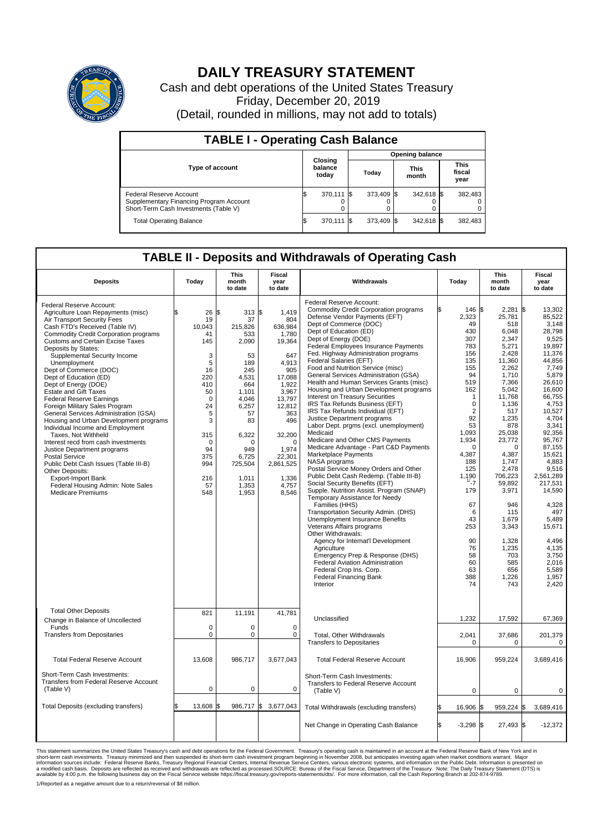

## **DAILY TREASURY STATEMENT**

Cash and debt operations of the United States Treasury Friday, December 20, 2019 (Detail, rounded in millions, may not add to totals)

| <b>TABLE I - Operating Cash Balance</b>                                                                     |                             |            |                        |            |                      |            |                               |         |  |  |
|-------------------------------------------------------------------------------------------------------------|-----------------------------|------------|------------------------|------------|----------------------|------------|-------------------------------|---------|--|--|
|                                                                                                             |                             |            | <b>Opening balance</b> |            |                      |            |                               |         |  |  |
| <b>Type of account</b>                                                                                      | Closing<br>balance<br>today |            | Today                  |            | <b>This</b><br>month |            | <b>This</b><br>fiscal<br>year |         |  |  |
| Federal Reserve Account<br>Supplementary Financing Program Account<br>Short-Term Cash Investments (Table V) |                             | 370,111 \$ |                        | 373.409 \$ |                      | 342,618 \$ |                               | 382,483 |  |  |
| <b>Total Operating Balance</b>                                                                              |                             | 370,111 \$ |                        | 373.409 \$ |                      | 342,618 \$ |                               | 382,483 |  |  |

## **TABLE II - Deposits and Withdrawals of Operating Cash**

| <b>Deposits</b>                                                                                                                                                                                                                                                                                                                                                                                                                                                                                                                                                                                                                                                                                                                                                                                                                                                                    | Today                                                                                                                                                                       | <b>This</b><br>month<br>to date                                                                                                                                                             | Fiscal<br>year<br>to date                                                                                                                                                                                        | Withdrawals                                                                                                                                                                                                                                                                                                                                                                                                                                                                                                                                                                                                                                                                                                                                                                                                                                                                                                                                                                                                                                                                                                                                                                                                                                                                                                                                               | Today                                                                                                                                                                                                                                                                                            | <b>This</b><br>month<br>to date                                                                                                                                                                                                                                                                                                           | Fiscal<br>year<br>to date                                                                                                                                                                                                                                                                                                                                            |
|------------------------------------------------------------------------------------------------------------------------------------------------------------------------------------------------------------------------------------------------------------------------------------------------------------------------------------------------------------------------------------------------------------------------------------------------------------------------------------------------------------------------------------------------------------------------------------------------------------------------------------------------------------------------------------------------------------------------------------------------------------------------------------------------------------------------------------------------------------------------------------|-----------------------------------------------------------------------------------------------------------------------------------------------------------------------------|---------------------------------------------------------------------------------------------------------------------------------------------------------------------------------------------|------------------------------------------------------------------------------------------------------------------------------------------------------------------------------------------------------------------|-----------------------------------------------------------------------------------------------------------------------------------------------------------------------------------------------------------------------------------------------------------------------------------------------------------------------------------------------------------------------------------------------------------------------------------------------------------------------------------------------------------------------------------------------------------------------------------------------------------------------------------------------------------------------------------------------------------------------------------------------------------------------------------------------------------------------------------------------------------------------------------------------------------------------------------------------------------------------------------------------------------------------------------------------------------------------------------------------------------------------------------------------------------------------------------------------------------------------------------------------------------------------------------------------------------------------------------------------------------|--------------------------------------------------------------------------------------------------------------------------------------------------------------------------------------------------------------------------------------------------------------------------------------------------|-------------------------------------------------------------------------------------------------------------------------------------------------------------------------------------------------------------------------------------------------------------------------------------------------------------------------------------------|----------------------------------------------------------------------------------------------------------------------------------------------------------------------------------------------------------------------------------------------------------------------------------------------------------------------------------------------------------------------|
| Federal Reserve Account:<br>Agriculture Loan Repayments (misc)<br>Air Transport Security Fees<br>Cash FTD's Received (Table IV)<br><b>Commodity Credit Corporation programs</b><br>Customs and Certain Excise Taxes<br>Deposits by States:<br>Supplemental Security Income<br>Unemployment<br>Dept of Commerce (DOC)<br>Dept of Education (ED)<br>Dept of Energy (DOE)<br><b>Estate and Gift Taxes</b><br><b>Federal Reserve Earnings</b><br>Foreign Military Sales Program<br>General Services Administration (GSA)<br>Housing and Urban Development programs<br>Individual Income and Employment<br>Taxes, Not Withheld<br>Interest recd from cash investments<br>Justice Department programs<br><b>Postal Service</b><br>Public Debt Cash Issues (Table III-B)<br>Other Deposits:<br><b>Export-Import Bank</b><br>Federal Housing Admin: Note Sales<br><b>Medicare Premiums</b> | \$<br>$26$ \$<br>19<br>10,043<br>41<br>145<br>3<br>5<br>16<br>220<br>410<br>50<br>$\mathbf 0$<br>24<br>5<br>3<br>315<br>$\mathbf 0$<br>94<br>375<br>994<br>216<br>57<br>548 | 313S<br>37<br>215,826<br>533<br>2,090<br>53<br>189<br>245<br>4,531<br>664<br>1,101<br>4,046<br>6,257<br>57<br>83<br>6,322<br>$\Omega$<br>949<br>6,725<br>725,504<br>1.011<br>1,353<br>1,953 | 1.419<br>804<br>636,984<br>1,780<br>19,364<br>647<br>4.913<br>905<br>17,088<br>1,922<br>3,967<br>13,797<br>12,812<br>363<br>496<br>32,200<br>$\Omega$<br>1,974<br>22,301<br>2,861,525<br>1,336<br>4,757<br>8,546 | Federal Reserve Account:<br><b>Commodity Credit Corporation programs</b><br>Defense Vendor Payments (EFT)<br>Dept of Commerce (DOC)<br>Dept of Education (ED)<br>Dept of Energy (DOE)<br><b>Federal Employees Insurance Payments</b><br>Fed. Highway Administration programs<br>Federal Salaries (EFT)<br>Food and Nutrition Service (misc)<br>General Services Administration (GSA)<br>Health and Human Services Grants (misc)<br>Housing and Urban Development programs<br>Interest on Treasury Securities<br>IRS Tax Refunds Business (EFT)<br>IRS Tax Refunds Individual (EFT)<br>Justice Department programs<br>Labor Dept. prgms (excl. unemployment)<br>Medicaid<br>Medicare and Other CMS Payments<br>Medicare Advantage - Part C&D Payments<br>Marketplace Payments<br>NASA programs<br>Postal Service Money Orders and Other<br>Public Debt Cash Redemp. (Table III-B)<br>Social Security Benefits (EFT)<br>Supple. Nutrition Assist. Program (SNAP)<br>Temporary Assistance for Needy<br>Families (HHS)<br>Transportation Security Admin. (DHS)<br>Unemployment Insurance Benefits<br>Veterans Affairs programs<br>Other Withdrawals:<br>Agency for Internat'l Development<br>Agriculture<br>Emergency Prep & Response (DHS)<br><b>Federal Aviation Administration</b><br>Federal Crop Ins. Corp.<br><b>Federal Financing Bank</b><br>Interior | 146<br>2,323<br>49<br>430<br>307<br>783<br>156<br>135<br>155<br>94<br>519<br>162<br>$\mathbf{1}$<br>$\mathbf 0$<br>$\overline{2}$<br>92<br>53<br>1.093<br>1,934<br>$\mathbf 0$<br>4,387<br>188<br>125<br>1,190<br>1/27<br>179<br>67<br>6<br>43<br>253<br>90<br>76<br>58<br>60<br>63<br>388<br>74 | l\$<br>2,281<br>25,781<br>518<br>6,048<br>2,347<br>5,271<br>2,428<br>11,360<br>2,262<br>1,710<br>7,366<br>5,042<br>11,768<br>1,136<br>517<br>1,235<br>878<br>25,038<br>23,772<br>$\Omega$<br>4,387<br>1.747<br>2,478<br>706,223<br>59,892<br>3,971<br>946<br>115<br>1,679<br>3,343<br>1,328<br>1,235<br>703<br>585<br>656<br>1,226<br>743 | l\$<br>13.302<br>85,522<br>3,148<br>28,798<br>9,525<br>19.897<br>11,376<br>44,856<br>7,749<br>5.879<br>26,610<br>16,600<br>66.755<br>4,753<br>10,527<br>4,704<br>3,341<br>92.356<br>95,767<br>87,155<br>15,621<br>4.883<br>9,516<br>2,561,289<br>217,531<br>14,590<br>4,328<br>497<br>5,489<br>15,671<br>4.496<br>4,135<br>3,750<br>2.016<br>5,589<br>1,957<br>2,420 |
| <b>Total Other Deposits</b><br>Change in Balance of Uncollected                                                                                                                                                                                                                                                                                                                                                                                                                                                                                                                                                                                                                                                                                                                                                                                                                    | 821                                                                                                                                                                         | 11,191                                                                                                                                                                                      | 41,781                                                                                                                                                                                                           | Unclassified                                                                                                                                                                                                                                                                                                                                                                                                                                                                                                                                                                                                                                                                                                                                                                                                                                                                                                                                                                                                                                                                                                                                                                                                                                                                                                                                              | 1,232                                                                                                                                                                                                                                                                                            | 17,592                                                                                                                                                                                                                                                                                                                                    | 67,369                                                                                                                                                                                                                                                                                                                                                               |
| Funds<br><b>Transfers from Depositaries</b>                                                                                                                                                                                                                                                                                                                                                                                                                                                                                                                                                                                                                                                                                                                                                                                                                                        | $\mathbf 0$<br>0                                                                                                                                                            | $\Omega$<br>0                                                                                                                                                                               | $\Omega$<br>0                                                                                                                                                                                                    | Total, Other Withdrawals<br><b>Transfers to Depositaries</b>                                                                                                                                                                                                                                                                                                                                                                                                                                                                                                                                                                                                                                                                                                                                                                                                                                                                                                                                                                                                                                                                                                                                                                                                                                                                                              | 2,041<br>$\Omega$                                                                                                                                                                                                                                                                                | 37,686<br>$\Omega$                                                                                                                                                                                                                                                                                                                        | 201,379<br>0                                                                                                                                                                                                                                                                                                                                                         |
| <b>Total Federal Reserve Account</b>                                                                                                                                                                                                                                                                                                                                                                                                                                                                                                                                                                                                                                                                                                                                                                                                                                               | 13,608                                                                                                                                                                      | 986,717                                                                                                                                                                                     | 3,677,043                                                                                                                                                                                                        | <b>Total Federal Reserve Account</b>                                                                                                                                                                                                                                                                                                                                                                                                                                                                                                                                                                                                                                                                                                                                                                                                                                                                                                                                                                                                                                                                                                                                                                                                                                                                                                                      | 16,906                                                                                                                                                                                                                                                                                           | 959,224                                                                                                                                                                                                                                                                                                                                   | 3,689,416                                                                                                                                                                                                                                                                                                                                                            |
| Short-Term Cash Investments:<br><b>Transfers from Federal Reserve Account</b><br>(Table V)                                                                                                                                                                                                                                                                                                                                                                                                                                                                                                                                                                                                                                                                                                                                                                                         | $\mathbf 0$                                                                                                                                                                 | $\mathbf 0$                                                                                                                                                                                 | $\mathbf 0$                                                                                                                                                                                                      | Short-Term Cash Investments:<br>Transfers to Federal Reserve Account<br>(Table V)                                                                                                                                                                                                                                                                                                                                                                                                                                                                                                                                                                                                                                                                                                                                                                                                                                                                                                                                                                                                                                                                                                                                                                                                                                                                         | 0                                                                                                                                                                                                                                                                                                | 0                                                                                                                                                                                                                                                                                                                                         | 0                                                                                                                                                                                                                                                                                                                                                                    |
| Total Deposits (excluding transfers)                                                                                                                                                                                                                                                                                                                                                                                                                                                                                                                                                                                                                                                                                                                                                                                                                                               | 13,608                                                                                                                                                                      | 986,717 \$<br>ß.                                                                                                                                                                            | 3,677,043                                                                                                                                                                                                        | Total Withdrawals (excluding transfers)                                                                                                                                                                                                                                                                                                                                                                                                                                                                                                                                                                                                                                                                                                                                                                                                                                                                                                                                                                                                                                                                                                                                                                                                                                                                                                                   | 16.906                                                                                                                                                                                                                                                                                           | $959,224$ \$<br>I\$                                                                                                                                                                                                                                                                                                                       | 3.689.416                                                                                                                                                                                                                                                                                                                                                            |
|                                                                                                                                                                                                                                                                                                                                                                                                                                                                                                                                                                                                                                                                                                                                                                                                                                                                                    |                                                                                                                                                                             |                                                                                                                                                                                             |                                                                                                                                                                                                                  | Net Change in Operating Cash Balance                                                                                                                                                                                                                                                                                                                                                                                                                                                                                                                                                                                                                                                                                                                                                                                                                                                                                                                                                                                                                                                                                                                                                                                                                                                                                                                      | £.<br>$-3,298$ \$                                                                                                                                                                                                                                                                                | 27,493 \$                                                                                                                                                                                                                                                                                                                                 | $-12,372$                                                                                                                                                                                                                                                                                                                                                            |

This statement summarizes the United States Treasury's cash and debt operations for the Federal Government. Treasury operating in November 2008, but anticingates investing again when market conditions warrant. Major York a 1/Reported as a negative amount due to a return/reversal of \$8 million.